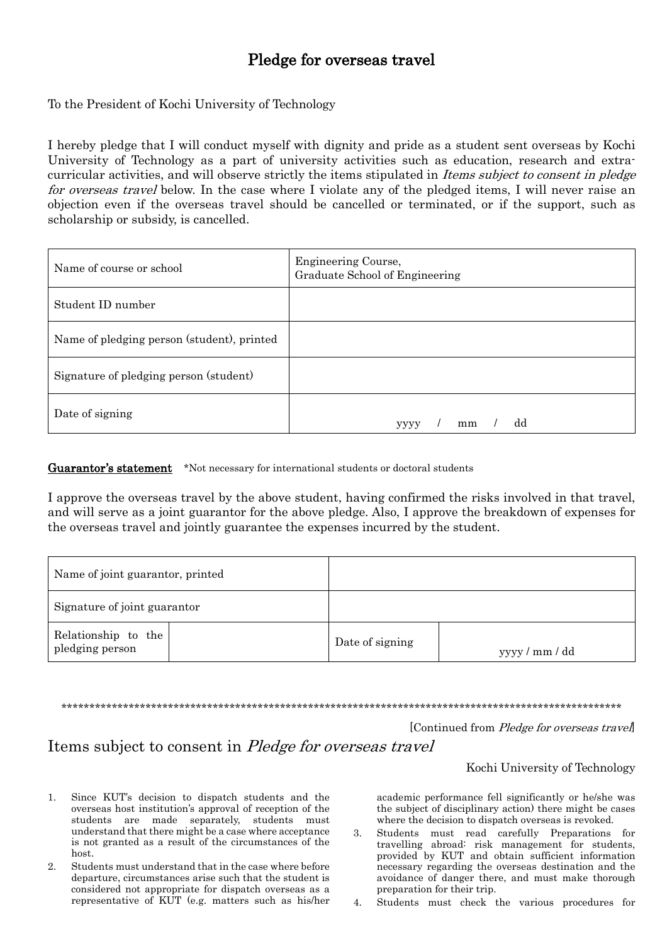## Pledge for overseas travel

To the President of Kochi University of Technology

I hereby pledge that I will conduct myself with dignity and pride as a student sent overseas by Kochi University of Technology as a part of university activities such as education, research and extracurricular activities, and will observe strictly the items stipulated in Items subject to consent in pledge for overseas travel below. In the case where I violate any of the pledged items, I will never raise an objection even if the overseas travel should be cancelled or terminated, or if the support, such as scholarship or subsidy, is cancelled.

| Name of course or school                   | Engineering Course,<br>Graduate School of Engineering |
|--------------------------------------------|-------------------------------------------------------|
| Student ID number                          |                                                       |
| Name of pledging person (student), printed |                                                       |
| Signature of pledging person (student)     |                                                       |
| Date of signing                            | dd<br>mm<br><b>YYYY</b>                               |

**Guarantor's statement** \*Not necessary for international students or doctoral students

I approve the overseas travel by the above student, having confirmed the risks involved in that travel, and will serve as a joint guarantor for the above pledge. Also, I approve the breakdown of expenses for the overseas travel and jointly guarantee the expenses incurred by the student.

| Name of joint guarantor, printed       |                 |                |
|----------------------------------------|-----------------|----------------|
| Signature of joint guarantor           |                 |                |
| Relationship to the<br>pledging person | Date of signing | yyyy / mm / dd |

\*\*\*\*\*\*\*\*\*\*\*\*\*\*\*\*\*\*\*\*\*\*\*\*\*\*\*\*\*\*\*\*\*\*\*\*\*\*\*\*\*\*\*\*\*\*\*\*\*\*\*\*\*\*\*\*\*\*\*\*\*\*\*\*\*\*\*\*\*\*\*\*\*\*\*\*\*\*\*\*\*\*\*\*\*\*\*\*\*\*\*\*\*\*\*\*\*\*\*\*

[Continued from *Pledge for overseas travel*]

## Items subject to consent in Pledge for overseas travel

## Kochi University of Technology

- 1. Since KUT's decision to dispatch students and the overseas host institution's approval of reception of the students are made separately, students must understand that there might be a case where acceptance is not granted as a result of the circumstances of the host.
- 2. Students must understand that in the case where before departure, circumstances arise such that the student is considered not appropriate for dispatch overseas as a representative of KUT (e.g. matters such as his/her

academic performance fell significantly or he/she was the subject of disciplinary action) there might be cases where the decision to dispatch overseas is revoked.

- 3. Students must read carefully Preparations for travelling abroad: risk management for students, provided by KUT and obtain sufficient information necessary regarding the overseas destination and the avoidance of danger there, and must make thorough preparation for their trip.
- 4. Students must check the various procedures for